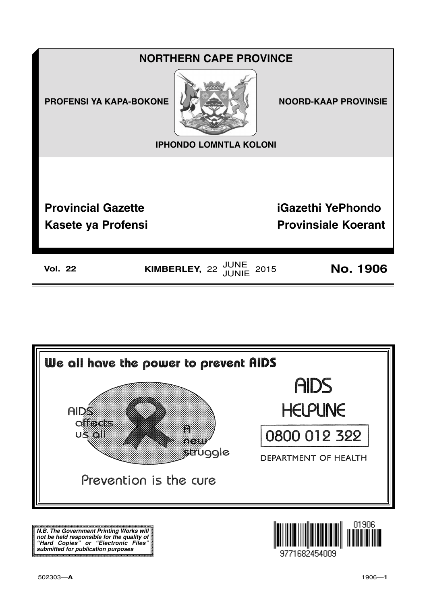



**N.B. The Government Printing Works will not be held responsible for the quality of "Hard Copies" or "Electronic Files" submitted for publication purposes**

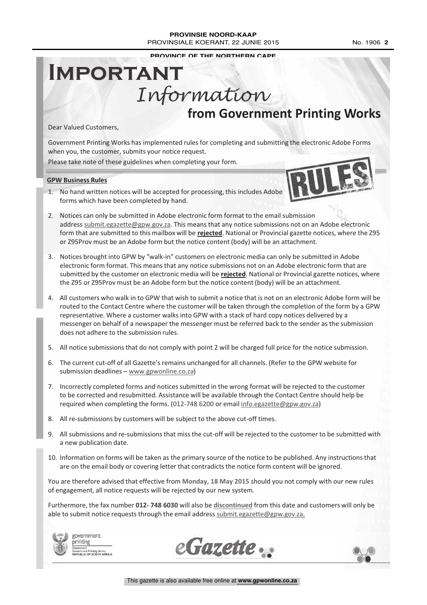#### **PROVINSIE NOORD-KAAP** PROVINSIALE KOERANT, 22 JUNIE 2015 No. 1906 2

**PROVINCE OF THE NORTHERN CAPE**

## **from Government Printing Works IMPORTANT** Information

Dear Valued Customers,

Government Printing Works has implemented rules for completing and submitting the electronic Adobe Forms when you, the customer, submits your notice request.

Please take note of these guidelines when completing your form.

#### **GPW Business Rules**

1. No hand written notices will be accepted for processing, this includes Adobe forms which have been completed by hand.



- 2. Notices can only be submitted in Adobe electronic form format to the email submission address submit.egazette@gpw.gov.za. This means that any notice submissions not on an Adobe electronic form that are submitted to this mailbox will be **rejected**. National or Provincial gazette notices, where the Z95 or Z95Prov must be an Adobe form but the notice content (body) will be an attachment.
- 3. Notices brought into GPW by "walk-in" customers on electronic media can only be submitted in Adobe electronic form format. This means that any notice submissions not on an Adobe electronic form that are submitted by the customer on electronic media will be **rejected**. National or Provincial gazette notices, where the Z95 or Z95Prov must be an Adobe form but the notice content (body) will be an attachment.
- 4. All customers who walk in to GPW that wish to submit a notice that is not on an electronic Adobe form will be routed to the Contact Centre where the customer will be taken through the completion of the form by a GPW representative. Where a customer walks into GPW with a stack of hard copy notices delivered by a messenger on behalf of a newspaper the messenger must be referred back to the sender as the submission does not adhere to the submission rules.
- 5. All notice submissions that do not comply with point 2 will be charged full price for the notice submission.
- 6. The current cut-off of all Gazette's remains unchanged for all channels. (Refer to the GPW website for submission deadlines - www.gpwonline.co.za)
- 7. Incorrectly completed forms and notices submitted in the wrong format will be rejected to the customer to be corrected and resubmitted. Assistance will be available through the Contact Centre should help be required when completing the forms. (012-748 6200 or email info.egazette@gpw.gov.za)
- 8. All re-submissions by customers will be subject to the above cut-off times.
- 9. All submissions and re-submissions that miss the cut-off will be rejected to the customer to be submitted with a new publication date.
- 10. Information on forms will be taken as the primary source of the notice to be published. Any instructions that are on the email body or covering letter that contradicts the notice form content will be ignored.

You are therefore advised that effective from **Monday, 18 May 2015** should you not comply with our new rules of engagement, all notice requests will be rejected by our new system.

Furthermore, the fax number **012- 748 6030** will also be **discontinued** from this date and customers will only be able to submit notice requests through the email address submit.egazette@gpw.gov.za.



government printing on:<br>ient Printing Works<br>.ic. OF SOUTH AFRICA



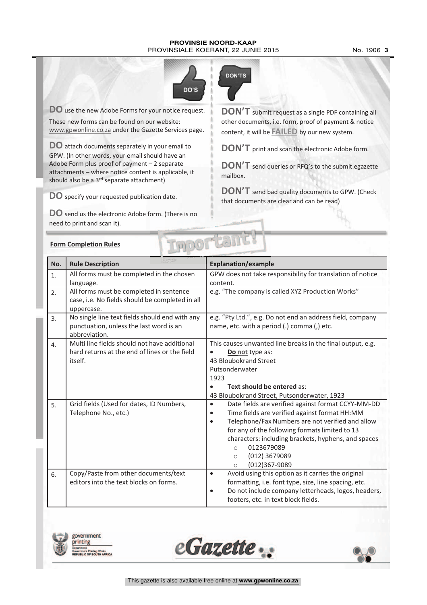#### **PROVINSIE NOORD-KAAP** PROVINSIALE KOERANT, 22 JUNIE 2015 No. 1906 **3**



**DO** use the new Adobe Forms for your notice request.

These new forms can be found on our website: www.gpwonline.co.za under the Gazette Services page.

**DO** attach documents separately in your email to GPW. (In other words, your email should have an Adobe Form plus proof of payment – 2 separate attachments – where notice content is applicable, it should also be a 3<sup>rd</sup> separate attachment)

**DO** specify your requested publication date.

**DO** send us the electronic Adobe form. (There is no need to print and scan it).



**DON'T** submit request as <sup>a</sup> single PDF containing all other documents, i.e. form, proof of payment & notice content, it will be **FAILED** by our new system.

**DON'T** print and scan the electronic Adobe form.

**DON'T** send queries or RFQ's to the submit.egazette mailbox.

**DON'T** send bad quality documents to GPW. (Check that documents are clear and can be read)

|                | DOLL-LAI<br><b>Form Completion Rules</b>                                                                   |                                                                                                                                                                                                                                                                                                                                                                             |  |  |  |  |
|----------------|------------------------------------------------------------------------------------------------------------|-----------------------------------------------------------------------------------------------------------------------------------------------------------------------------------------------------------------------------------------------------------------------------------------------------------------------------------------------------------------------------|--|--|--|--|
| No.            | <b>Rule Description</b>                                                                                    | <b>Explanation/example</b>                                                                                                                                                                                                                                                                                                                                                  |  |  |  |  |
| 1.             | All forms must be completed in the chosen<br>language.                                                     | GPW does not take responsibility for translation of notice<br>content.                                                                                                                                                                                                                                                                                                      |  |  |  |  |
| 2.             | All forms must be completed in sentence<br>case, i.e. No fields should be completed in all<br>uppercase.   | e.g. "The company is called XYZ Production Works"                                                                                                                                                                                                                                                                                                                           |  |  |  |  |
| 3 <sub>1</sub> | No single line text fields should end with any<br>punctuation, unless the last word is an<br>abbreviation. | e.g. "Pty Ltd.", e.g. Do not end an address field, company<br>name, etc. with a period (.) comma (,) etc.                                                                                                                                                                                                                                                                   |  |  |  |  |
| 4.             | Multi line fields should not have additional<br>hard returns at the end of lines or the field<br>itself.   | This causes unwanted line breaks in the final output, e.g.<br>Do not type as:<br>$\bullet$<br>43 Bloubokrand Street<br>Putsonderwater<br>1923<br>Text should be entered as:<br>43 Bloubokrand Street, Putsonderwater, 1923                                                                                                                                                  |  |  |  |  |
| 5.             | Grid fields (Used for dates, ID Numbers,<br>Telephone No., etc.)                                           | Date fields are verified against format CCYY-MM-DD<br>$\bullet$<br>Time fields are verified against format HH:MM<br>Telephone/Fax Numbers are not verified and allow<br>$\bullet$<br>for any of the following formats limited to 13<br>characters: including brackets, hyphens, and spaces<br>0123679089<br>$\circ$<br>(012) 3679089<br>$\circ$<br>(012)367-9089<br>$\circ$ |  |  |  |  |
| 6.             | Copy/Paste from other documents/text<br>editors into the text blocks on forms.                             | Avoid using this option as it carries the original<br>$\bullet$<br>formatting, i.e. font type, size, line spacing, etc.<br>Do not include company letterheads, logos, headers,<br>$\bullet$<br>footers, etc. in text block fields.                                                                                                                                          |  |  |  |  |







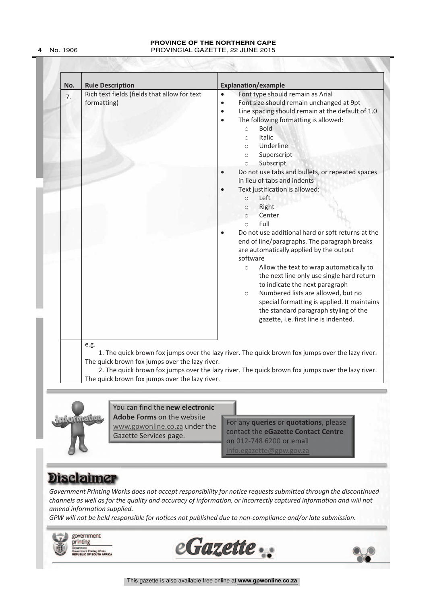#### **PROVINCE OF THE NORTHERN CAPE 4** No. 1906 PROVINCIAL GAZETTE, 22 JUNE 2015

| No. | <b>Rule Description</b>                                             | <b>Explanation/example</b>                                                                                                                                                                                                                                                                                                                                                                                                                                                                                                                                                                                                                                                                                                                                                                                                                                                                                                                                                                                                                                                                                                                      |  |  |
|-----|---------------------------------------------------------------------|-------------------------------------------------------------------------------------------------------------------------------------------------------------------------------------------------------------------------------------------------------------------------------------------------------------------------------------------------------------------------------------------------------------------------------------------------------------------------------------------------------------------------------------------------------------------------------------------------------------------------------------------------------------------------------------------------------------------------------------------------------------------------------------------------------------------------------------------------------------------------------------------------------------------------------------------------------------------------------------------------------------------------------------------------------------------------------------------------------------------------------------------------|--|--|
| 7.  | Rich text fields (fields that allow for text<br>formatting)<br>e.g. | Font type should remain as Arial<br>$\bullet$<br>Font size should remain unchanged at 9pt<br>$\bullet$<br>Line spacing should remain at the default of 1.0<br>$\bullet$<br>The following formatting is allowed:<br>$\bullet$<br><b>Bold</b><br>$\circ$<br>Italic<br>$\circ$<br>Underline<br>$\circ$<br>Superscript<br>$\circ$<br>Subscript<br>$\circ$<br>Do not use tabs and bullets, or repeated spaces<br>in lieu of tabs and indents<br>Text justification is allowed:<br>Left<br>$\circ$<br>Right<br>$\circ$<br>Center<br>$\circ$<br>Full<br>$\circ$<br>Do not use additional hard or soft returns at the<br>end of line/paragraphs. The paragraph breaks<br>are automatically applied by the output<br>software<br>Allow the text to wrap automatically to<br>$\circ$<br>the next line only use single hard return<br>to indicate the next paragraph<br>Numbered lists are allowed, but no<br>$\circ$<br>special formatting is applied. It maintains<br>the standard paragraph styling of the<br>gazette, i.e. first line is indented.<br>1. The quick brown fox jumps over the lazy river. The quick brown fox jumps over the lazy river. |  |  |
|     | The quick brown fox jumps over the lazy river.                      | 2. The quick brown fox jumps over the lazy river. The quick brown fox jumps over the lazy river.                                                                                                                                                                                                                                                                                                                                                                                                                                                                                                                                                                                                                                                                                                                                                                                                                                                                                                                                                                                                                                                |  |  |
|     | The quick brown fox jumps over the lazy river.                      |                                                                                                                                                                                                                                                                                                                                                                                                                                                                                                                                                                                                                                                                                                                                                                                                                                                                                                                                                                                                                                                                                                                                                 |  |  |



You can find the **new electronic Adobe Forms** on the website www.gpwonline.co.za under the Gazette Services page.

For any **queries** or **quotations**, please contact the **eGazette Contact Centre** on 012-748 6200 or email  $info$ .egazette@gpw.gov

### **Disclaimer**

*Government Printing Works does not accept responsibility for notice requests submitted through the discontinued channels as well as for the quality and accuracy of information, or incorrectly captured information and will not amend information supplied.*

*GPW will not be held responsible for notices not published due to non-compliance and/or late submission.*

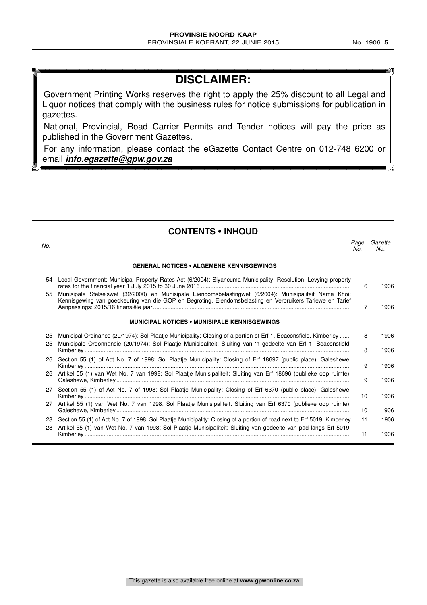### **DISCLAIMER:**

Government Printing Works reserves the right to apply the 25% discount to all Legal and Liquor notices that comply with the business rules for notice submissions for publication in gazettes.

National, Provincial, Road Carrier Permits and Tender notices will pay the price as published in the Government Gazettes.

For any information, please contact the eGazette Contact Centre on 012-748 6200 or email **info.egazette@gpw.gov.za**

**CONTENTS • INHOUD**

| No.      |                                                                                                                                                                                                                                             | Page<br>No. | Gazette<br>No. |
|----------|---------------------------------------------------------------------------------------------------------------------------------------------------------------------------------------------------------------------------------------------|-------------|----------------|
|          | <b>GENERAL NOTICES • ALGEMENE KENNISGEWINGS</b>                                                                                                                                                                                             |             |                |
| 54       | Local Government: Municipal Property Rates Act (6/2004): Siyancuma Municipality: Resolution: Levying property                                                                                                                               | 6           | 1906           |
| 55       | Munisipale Stelselswet (32/2000) en Munisipale Eiendomsbelastingwet (6/2004): Munisipaliteit Nama Khoi:<br>Kennisgewing van goedkeuring van die GOP en Begroting, Eiendomsbelasting en Verbruikers Tariewe en Tarief                        | 7           | 1906           |
|          | <b>MUNICIPAL NOTICES • MUNISIPALE KENNISGEWINGS</b>                                                                                                                                                                                         |             |                |
| 25<br>25 | Municipal Ordinance (20/1974): Sol Plaatje Municipality: Closing of a portion of Erf 1, Beaconsfield, Kimberley<br>Munisipale Ordonnansie (20/1974): Sol Plaatje Munisipaliteit: Sluiting van 'n gedeelte van Erf 1, Beaconsfield,          | 8<br>8      | 1906<br>1906   |
|          | 26 Section 55 (1) of Act No. 7 of 1998: Sol Plaatje Municipality: Closing of Erf 18697 (public place), Galeshewe,                                                                                                                           | 9           | 1906           |
|          | 26 Artikel 55 (1) van Wet No. 7 van 1998: Sol Plaatje Munisipaliteit: Sluiting van Erf 18696 (publieke oop ruimte),                                                                                                                         | 9           | 1906           |
| 27       | Section 55 (1) of Act No. 7 of 1998: Sol Plaatje Municipality: Closing of Erf 6370 (public place), Galeshewe,                                                                                                                               | 10          | 1906           |
|          | 27 Artikel 55 (1) van Wet No. 7 van 1998: Sol Plaatje Munisipaliteit: Sluiting van Erf 6370 (publieke oop ruimte),                                                                                                                          | 10          | 1906           |
| 28<br>28 | Section 55 (1) of Act No. 7 of 1998: Sol Plaatje Municipality: Closing of a portion of road next to Erf 5019, Kimberley<br>Artikel 55 (1) van Wet No. 7 van 1998: Sol Plaatje Munisipaliteit: Sluiting van gedeelte van pad langs Erf 5019, | 11          | 1906           |
|          |                                                                                                                                                                                                                                             | 11          | 1906           |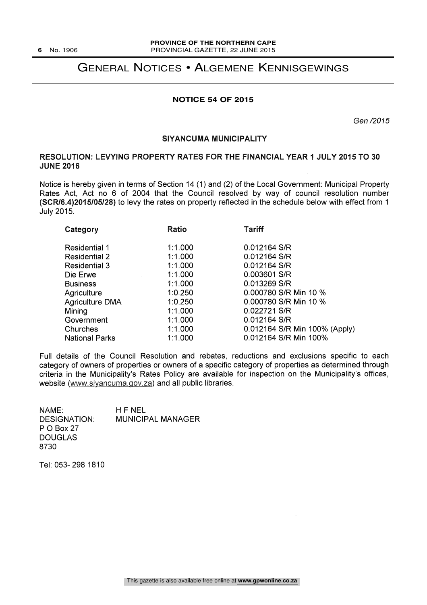### GENERAL NOTICES • ALGEMENE KENNISGEWINGS

#### **NOTICE 54 OF 2015**

Gen /2015

#### SIYANCUMA MUNICIPALITY

#### RESOLUTION: LEVYING PROPERTY RATES FOR THE FINANCIAL YEAR 1 JULY 2015 TO 30 JUNE 2016

Notice is hereby given in terms of Section 14 (1) and (2) of the Local Government: Municipal Property Rates Act, Act no 6 of 2004 that the Council resolved by way of council resolution number (SCR/6.4)2015/05/28) to levy the rates on property reflected in the schedule below with effect from 1 July 2015.

| <b>Ratio</b> | <b>Tariff</b>                 |
|--------------|-------------------------------|
|              |                               |
| 1:1.000      | 0.012164 S/R                  |
| 1:1.000      | 0.012164 S/R                  |
| 1:1.000      | 0.012164 S/R                  |
| 1:1.000      | 0.003601 S/R                  |
| 1:1.000      | 0.013269 S/R                  |
| 1:0.250      | 0.000780 S/R Min 10 %         |
| 1:0.250      | 0.000780 S/R Min 10 %         |
| 1:1.000      | 0.022721 S/R                  |
| 1:1.000      | 0.012164 S/R                  |
| 1:1.000      | 0.012164 S/R Min 100% (Apply) |
| 1:1.000      | 0.012164 S/R Min 100%         |
|              |                               |

Full details of the Council Resolution and rebates, reductions and exclusions specific to each category of owners of properties or owners of a specific category of properties as determined through criteria in the Municipality's Rates Policy are available for inspection on the Municipality's offices, website (www.siyancuma.gov.za) and all public libraries.

NAME: H F NEL<br>DESIGNATION: MUNICIF **MUNICIPAL MANAGER** P 0 Box 27 DOUGLAS 8730

Tel: 053- 298 1810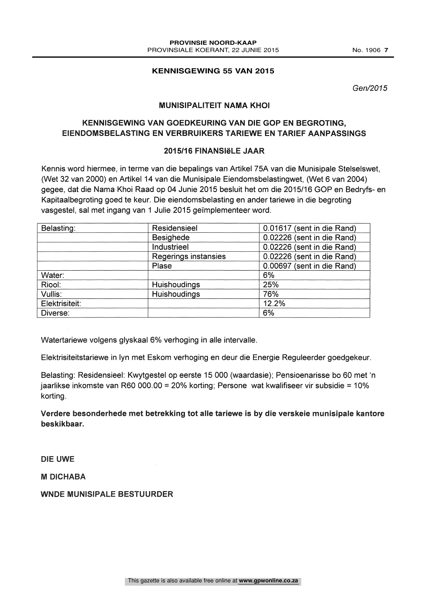Gen/2015

#### MUNISIPALITEIT NAMA KHOI

#### KENNISGEWING VAN GOEDKEURING VAN DIE GOP EN BEGROTING, EIENDOMSBELASTING EN VERBRUIKERS TARIEWE EN TARIEF AANPASSINGS

#### 2015/16 FINANSIëLE JAAR

Kennis word hiermee, in terme van die bepalings van Artikel 75A van die Munisipale Stelselswet, (Wet 32 van 2000) en Artikel 14 van die Munisipale Eiendomsbelastingwet, (Wet 6 van 2004) gegee, dat die Nama Khoi Raad op 04 Junie 2015 besluit het om die 2015/16 GOP en Bedryfs- en Kapitaalbegroting goed te keur. Die eiendomsbelasting en ander tariewe in die begroting vasgestel, sal met ingang van 1 Julie 2015 geïmplementeer word.

| Belasting:     | Residensieel         | 0.01617 (sent in die Rand) |
|----------------|----------------------|----------------------------|
|                | <b>Besighede</b>     | 0.02226 (sent in die Rand) |
|                | Industrieel          | 0.02226 (sent in die Rand) |
|                | Regerings instansies | 0.02226 (sent in die Rand) |
|                | Plase                | 0.00697 (sent in die Rand) |
| Water:         |                      | 6%                         |
| Riool:         | Huishoudings         | 25%                        |
| Vullis:        | Huishoudings         | 76%                        |
| Elektrisiteit: |                      | 12.2%                      |
| Diverse:       |                      | 6%                         |

Watertariewe volgens glyskaal 6% verhoging in alle intervalle.

Elektrisiteitstariewe in lyn met Eskom verhoging en deur die Energie Reguleerder goedgekeur.

Belasting: Residensieel: Kwytgestel op eerste 15 000 (waardasie); Pensioenarisse bo 60 met `n jaariikse inkomste van R60 000.00 = 20% korting; Persone wat kwalifiseer vir subsidie = 10% korting.

Verdere besonderhede met betrekking tot alle tariewe is by die verskeie munisipale kantore beskikbaar.

DIE UWE

M DICHABA

WNDE MUNISIPALE BESTUURDER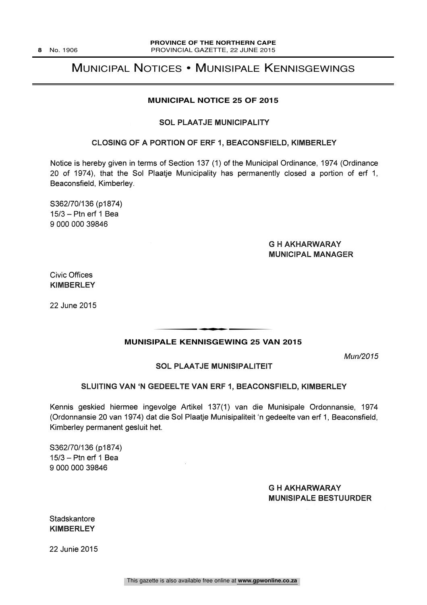### MUNICIPAL NOTICES • MUNISIPALE KENNISGEWINGS

#### **MUNICIPAL NOTICE 25 OF 2015**

#### SOL PLAATJE MUNICIPALITY

#### CLOSING OF A PORTION OF ERF 1, BEACONSFIELD, KIMBERLEY

Notice is hereby given in terms of Section 137 (1) of the Municipal Ordinance, 1974 (Ordinance 20 of 1974), that the Sol Plaatje Municipality has permanently closed a portion of erf 1, Beaconsfield, Kimberley.

S362/70/136 (p1874) 15/3 - Ptn erf 1 Bea 9 000 000 39846

#### G H AKHARWARAY MUNICIPAL MANAGER

Civic Offices KIMBERLEY

22 June 2015

# **MUNISIPALE KENNISGEWING 25 VAN 2015** t

Mun/2015

#### SOL PLAATJE MUNISIPALITEIT

#### SLUITING VAN `N GEDEELTE VAN ERF 1, BEACONSFIELD, KIMBERLEY

Kennis geskied hiermee ingevolge Artikel 137(1) van die Munisipale Ordonnansie, 1974 (Ordonnansie 20 van 1974) dat die Sol Plaatje Munisipaliteit `n gedeelte van erf 1, Beaconsfield, Kimberley permanent gesluit het.

S362/70/136 (p1874) 15/3 - Ptn erf 1 Bea 9 000 000 39846

#### G H AKHARWARAY MUNISIPALE BESTUURDER

**Stadskantore** KIMBERLEY

22 Junie 2015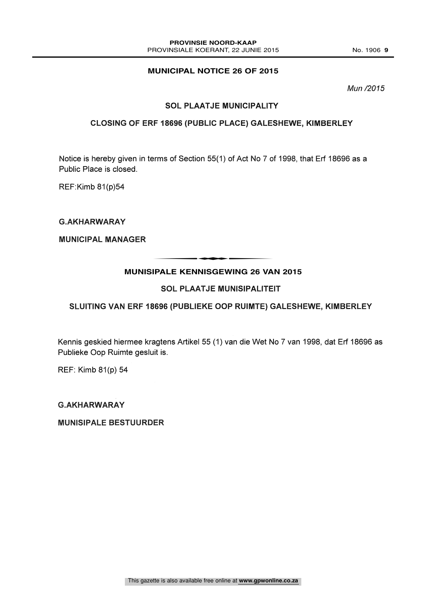#### **MUNICIPAL NOTICE 26 OF 2015**

Mun /2015

#### SOL PLAATJE MUNICIPALITY

#### CLOSING OF ERF 18696 (PUBLIC PLACE) GALESHEWE, KIMBERLEY

Notice is hereby given in terms of Section 55(1) of Act No 7 of 1998, that Erf 18696 as a Public Place is closed.

REF:Kimb 81(p)54

G.AKHARWARAY

MUNICIPAL MANAGER

## **MUNISIPALE KENNISGEWING 26 VAN 2015** t

#### SOL PLAATJE MUNISIPALITEIT

#### SLUITING VAN ERF 18696 (PUBLIEKE OOP RUIMTE) GALESHEWE, KIMBERLEY

Kennis geskied hiermee kragtens Artikel 55 (1) van die Wet No 7 van 1998, dat Erf 18696 as Publieke Oop Ruimte gesluit is.

REF: Kimb 81(p) 54

G.AKHARWARAY

MUNISIPALE BESTUURDER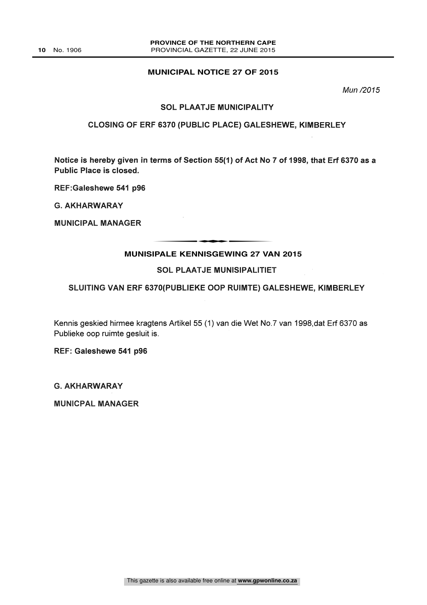#### **MUNICIPAL NOTICE 27 OF 2015**

Mun /2015

#### SOL PLAATJE MUNICIPALITY

#### CLOSING OF ERF 6370 (PUBLIC PLACE) GALESHEWE, KIMBERLEY

Notice is hereby given in terms of Section 55(1) of Act No 7 of 1998, that Erf 6370 as a Public Place is closed.

REF:Galeshewe 541 p96

G. AKHARWARAY

MUNICIPAL MANAGER

# **MUNISIPALE KENNISGEWING 27 VAN 2015** THE EXTRIBUTE OF MALE OF MALE AND

#### SOL PLAATJE MUNISIPALITIET

#### SLUITING VAN ERF 6370(PUBLIEKE OOP RUIMTE) GALESHEWE, KIMBERLEY

Kennis geskied hirmee kragtens Artikel 55 (1) van die Wet No.7 van 1998,dat Erf 6370 as Publieke oop ruimte gesluit is.

REF: Galeshewe 541 p96

G. AKHARWARAY

MUNICPAL MANAGER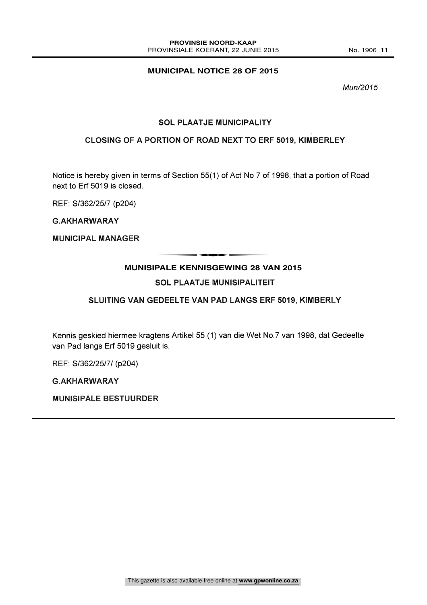#### **MUNICIPAL NOTICE 28 OF 2015**

Mun/2015

#### SOL PLAATJE MUNICIPALITY

#### CLOSING OF A PORTION OF ROAD NEXT TO ERF 5019, KIMBERLEY

Notice is hereby given in terms of Section 55(1) of Act No 7 of 1998, that a portion of Road next to Erf 5019 is closed.

REF: S/362/25/7 (p204)

G.AKHARWARAY

MUNICIPAL MANAGER

# **MUNISIPALE KENNISGEWING 28 VAN 2015** THE EXEMPLE CEMPLE OF VA

#### SOL PLAATJE MUNISIPALITEIT

#### SLUITING VAN GEDEELTE VAN PAD LANGS ERF 5019, KIMBERLY

Kennis geskied hiermee kragtens Artikel 55 (1) van die Wet No.7 van 1998, dat Gedeelte van Pad langs Erf 5019 gesluit is.

REF: S/362/25/7/ (p204)

G.AKHARWARAY

MUNISIPALE BESTUURDER